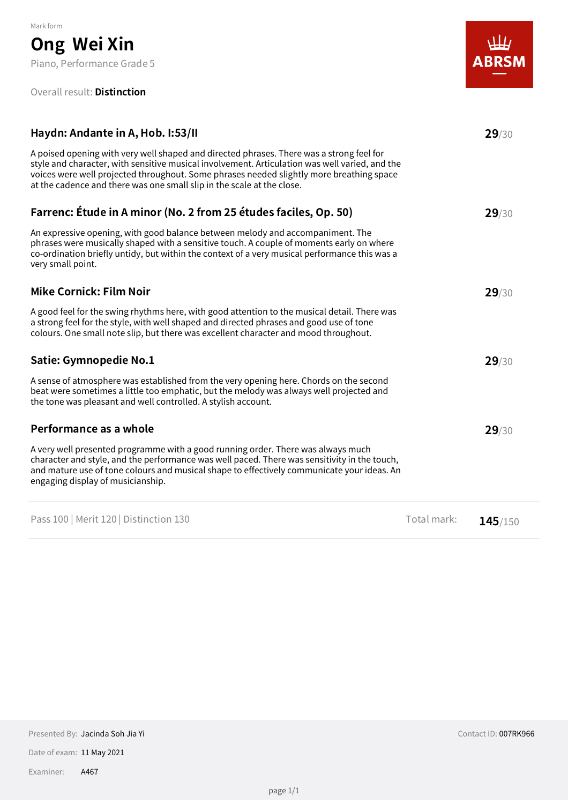#### Overall result: **Distinction**



| Haydn: Andante in A, Hob. I:53/II                                                                                                                                                                                                                                                                                                                                |             | 29/30   |
|------------------------------------------------------------------------------------------------------------------------------------------------------------------------------------------------------------------------------------------------------------------------------------------------------------------------------------------------------------------|-------------|---------|
| A poised opening with very well shaped and directed phrases. There was a strong feel for<br>style and character, with sensitive musical involvement. Articulation was well varied, and the<br>voices were well projected throughout. Some phrases needed slightly more breathing space<br>at the cadence and there was one small slip in the scale at the close. |             |         |
| Farrenc: Étude in A minor (No. 2 from 25 études faciles, Op. 50)                                                                                                                                                                                                                                                                                                 |             | 29/30   |
| An expressive opening, with good balance between melody and accompaniment. The<br>phrases were musically shaped with a sensitive touch. A couple of moments early on where<br>co-ordination briefly untidy, but within the context of a very musical performance this was a<br>very small point.                                                                 |             |         |
| <b>Mike Cornick: Film Noir</b>                                                                                                                                                                                                                                                                                                                                   |             | 29/30   |
| A good feel for the swing rhythms here, with good attention to the musical detail. There was<br>a strong feel for the style, with well shaped and directed phrases and good use of tone<br>colours. One small note slip, but there was excellent character and mood throughout.                                                                                  |             |         |
| <b>Satie: Gymnopedie No.1</b>                                                                                                                                                                                                                                                                                                                                    |             | 29/30   |
| A sense of atmosphere was established from the very opening here. Chords on the second<br>beat were sometimes a little too emphatic, but the melody was always well projected and<br>the tone was pleasant and well controlled. A stylish account.                                                                                                               |             |         |
| Performance as a whole                                                                                                                                                                                                                                                                                                                                           |             | 29/30   |
| A very well presented programme with a good running order. There was always much<br>character and style, and the performance was well paced. There was sensitivity in the touch,<br>and mature use of tone colours and musical shape to effectively communicate your ideas. An<br>engaging display of musicianship.                                              |             |         |
| Pass 100   Merit 120   Distinction 130                                                                                                                                                                                                                                                                                                                           | Total mark: | 145/150 |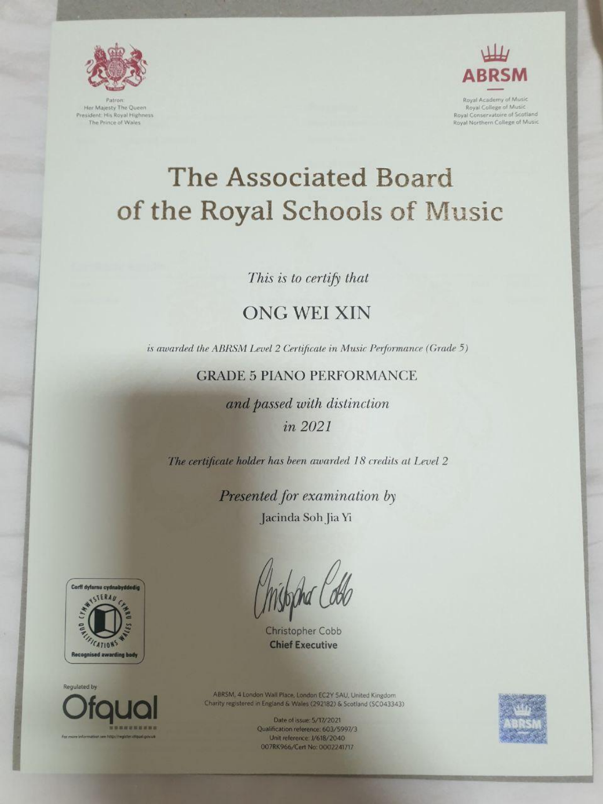

Patron Her Majesty The Queen President: His Royal Highness The Prince of Wales



Royal Academy of Music Royal College of Music Royal Conservatoire of Scotland Royal Northern College of Music

# **The Associated Board** of the Royal Schools of Music

This is to certify that

# **ONG WEI XIN**

is awarded the ABRSM Level 2 Certificate in Music Performance (Grade 5)

#### **GRADE 5 PIANO PERFORMANCE**

and passed with distinction in 2021

The certificate holder has been awarded 18 credits at Level 2

Presented for examination by Jacinda Soh Jia Yi

 $\Lambda$ 

 $\bigwedge$ 



**Regulated by** 



the information see hoppinegister ofqual gov.ut

ABRSM, 4 London Wall Place, London EC2Y 5AU, United Kingdom Charity registered in England & Wales (292182) & Scotland (SC043343)

Christopher Cobb

**Chief Executive** 

Date of issue: 5/17/2021 Qualification reference: 603/5997/3 Unit reference: J/618/2040 007RK966/Cert No: 0002241717